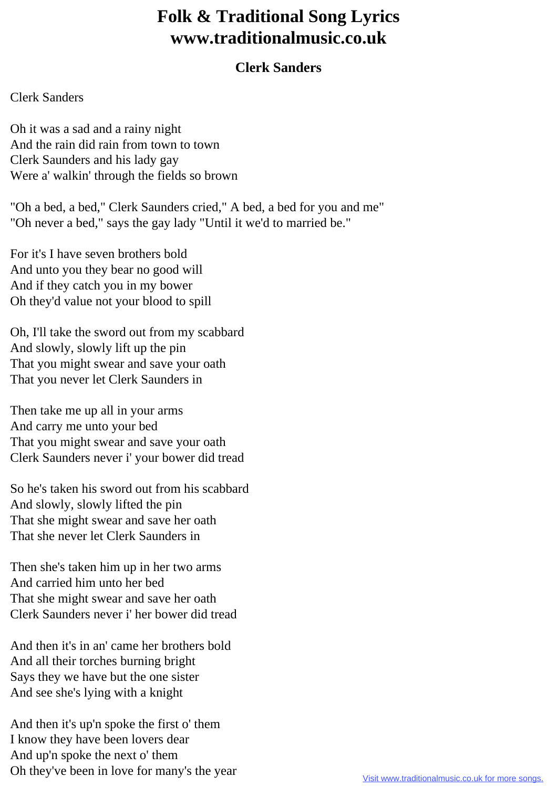## **Folk & Traditional Song Lyrics www.traditionalmusic.co.uk**

## **Clerk Sanders**

## Clerk Sanders

Oh it was a sad and a rainy night And the rain did rain from town to town Clerk Saunders and his lady gay Were a' walkin' through the fields so brown

"Oh a bed, a bed," Clerk Saunders cried," A bed, a bed for you and me" "Oh never a bed," says the gay lady "Until it we'd to married be."

For it's I have seven brothers bold And unto you they bear no good will And if they catch you in my bower Oh they'd value not your blood to spill

Oh, I'll take the sword out from my scabbard And slowly, slowly lift up the pin That you might swear and save your oath That you never let Clerk Saunders in

Then take me up all in your arms And carry me unto your bed That you might swear and save your oath Clerk Saunders never i' your bower did tread

So he's taken his sword out from his scabbard And slowly, slowly lifted the pin That she might swear and save her oath That she never let Clerk Saunders in

Then she's taken him up in her two arms And carried him unto her bed That she might swear and save her oath Clerk Saunders never i' her bower did tread

And then it's in an' came her brothers bold And all their torches burning bright Says they we have but the one sister And see she's lying with a knight

And then it's up'n spoke the first o' them I know they have been lovers dear And up'n spoke the next o' them Oh they've been in love for many's the year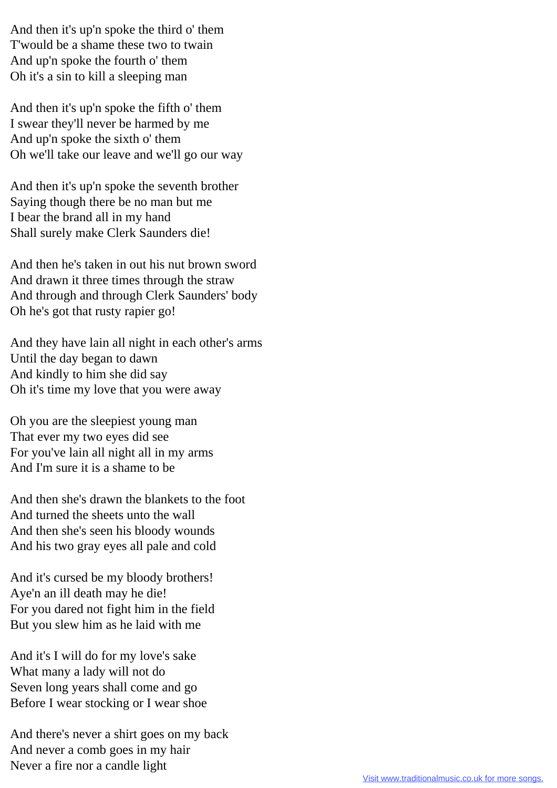And then it's up'n spoke the third o' them T'would be a shame these two to twain And up'n spoke the fourth o' them Oh it's a sin to kill a sleeping man

And then it's up'n spoke the fifth o' them I swear they'll never be harmed by me And up'n spoke the sixth o' them Oh we'll take our leave and we'll go our way

And then it's up'n spoke the seventh brother Saying though there be no man but me I bear the brand all in my hand Shall surely make Clerk Saunders die!

And then he's taken in out his nut brown sword And drawn it three times through the straw And through and through Clerk Saunders' body Oh he's got that rusty rapier go!

And they have lain all night in each other's arms Until the day began to dawn And kindly to him she did say Oh it's time my love that you were away

Oh you are the sleepiest young man That ever my two eyes did see For you've lain all night all in my arms And I'm sure it is a shame to be

And then she's drawn the blankets to the foot And turned the sheets unto the wall And then she's seen his bloody wounds And his two gray eyes all pale and cold

And it's cursed be my bloody brothers! Aye'n an ill death may he die! For you dared not fight him in the field But you slew him as he laid with me

And it's I will do for my love's sake What many a lady will not do Seven long years shall come and go Before I wear stocking or I wear shoe

And there's never a shirt goes on my back And never a comb goes in my hair Never a fire nor a candle light